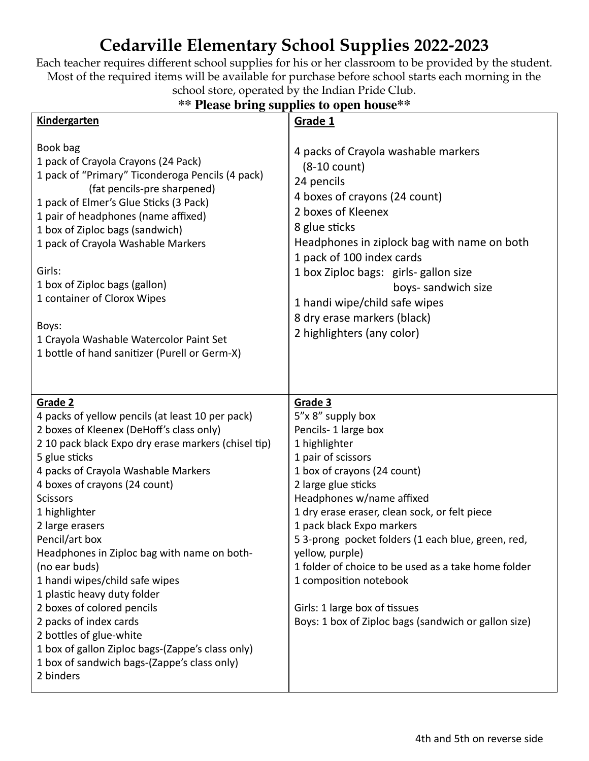## **Cedarville Elementary School Supplies 2022-2023**

Each teacher requires different school supplies for his or her classroom to be provided by the student. Most of the required items will be available for purchase before school starts each morning in the school store, operated by the Indian Pride Club.

## **\*\* Please bring supplies to open house\*\***

| <b>Kindergarten</b>                                                                                                                                                                                                                                                                                                                                                                                                                                                                                                                                                                                                                                                  | Grade 1                                                                                                                                                                                                                                                                                                                                                                                                                                                                                                       |
|----------------------------------------------------------------------------------------------------------------------------------------------------------------------------------------------------------------------------------------------------------------------------------------------------------------------------------------------------------------------------------------------------------------------------------------------------------------------------------------------------------------------------------------------------------------------------------------------------------------------------------------------------------------------|---------------------------------------------------------------------------------------------------------------------------------------------------------------------------------------------------------------------------------------------------------------------------------------------------------------------------------------------------------------------------------------------------------------------------------------------------------------------------------------------------------------|
| Book bag<br>1 pack of Crayola Crayons (24 Pack)<br>1 pack of "Primary" Ticonderoga Pencils (4 pack)<br>(fat pencils-pre sharpened)<br>1 pack of Elmer's Glue Sticks (3 Pack)<br>1 pair of headphones (name affixed)<br>1 box of Ziploc bags (sandwich)<br>1 pack of Crayola Washable Markers<br>Girls:<br>1 box of Ziploc bags (gallon)<br>1 container of Clorox Wipes<br>Boys:<br>1 Crayola Washable Watercolor Paint Set<br>1 bottle of hand sanitizer (Purell or Germ-X)                                                                                                                                                                                          | 4 packs of Crayola washable markers<br>$(8-10$ count)<br>24 pencils<br>4 boxes of crayons (24 count)<br>2 boxes of Kleenex<br>8 glue sticks<br>Headphones in ziplock bag with name on both<br>1 pack of 100 index cards<br>1 box Ziploc bags: girls-gallon size<br>boys- sandwich size<br>1 handi wipe/child safe wipes<br>8 dry erase markers (black)<br>2 highlighters (any color)                                                                                                                          |
| Grade 2<br>4 packs of yellow pencils (at least 10 per pack)<br>2 boxes of Kleenex (DeHoff's class only)<br>2 10 pack black Expo dry erase markers (chisel tip)<br>5 glue sticks<br>4 packs of Crayola Washable Markers<br>4 boxes of crayons (24 count)<br><b>Scissors</b><br>1 highlighter<br>2 large erasers<br>Pencil/art box<br>Headphones in Ziploc bag with name on both-<br>(no ear buds)<br>1 handi wipes/child safe wipes<br>1 plastic heavy duty folder<br>2 boxes of colored pencils<br>2 packs of index cards<br>2 bottles of glue-white<br>1 box of gallon Ziploc bags-(Zappe's class only)<br>1 box of sandwich bags-(Zappe's class only)<br>2 binders | Grade 3<br>5"x 8" supply box<br>Pencils-1 large box<br>1 highlighter<br>1 pair of scissors<br>1 box of crayons (24 count)<br>2 large glue sticks<br>Headphones w/name affixed<br>1 dry erase eraser, clean sock, or felt piece<br>1 pack black Expo markers<br>53-prong pocket folders (1 each blue, green, red,<br>yellow, purple)<br>1 folder of choice to be used as a take home folder<br>1 composition notebook<br>Girls: 1 large box of tissues<br>Boys: 1 box of Ziploc bags (sandwich or gallon size) |